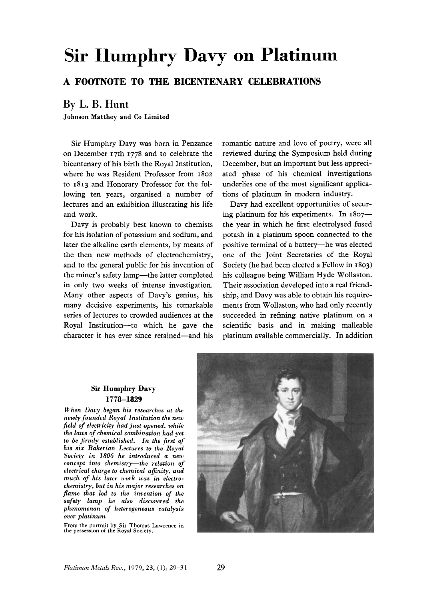# **Sir Humphry Davy on Platinum**

### **A FOOTNOTE TO THE BICENTENARY CELEBRATIONS**

## **By L. B. Hunt**

**Johnson Matthey and Co Limited** 

Sir Humphry Davy was born in Penzance on December 17th 1778 and to celebrate the bicentenary of his birth the Royal Institution, where he was Resident Professor from 1802 to 1813 and Honorary Professor for the following ten years, organised a number of lectures and an exhibition illustrating his life and work.

Davy is probably best known to chemists for his isolation of potassium and sodium, and later the alkaline earth elements, by means of the then new methods of electrochemistry, and to the general public for his invention of the miner's safety lamp-the latter completed in only two weeks of intense investigation. Many other aspects of Davy's genius, his many decisive experiments, his remarkable series of lectures to crowded audiences at the Royal Institution-to which he gave the character it has ever since retained-and his

romantic nature and love of poetry, were all reviewed during the Symposium held during December, but an important but less appreciated phase of his chemical investigations underlies one of the most significant applications of platinum in modern industry.

Davy had excellent opportunities of securing platinum for his experiments. In 1807the year in which he first electrolysed fused potash in a platinum spoon connected to the positive terminal of a battery-he was elected one of the Joint Secretaries of the Royal Society (he had been elected a Fellow in 1803) his colleague being William Hyde Wollaston. Their association developed into a real friendship, and Davy was able to obtain his requirements from Wollaston, who had only recently succeeded in refining native platinum on a scientific basis and in making malleable platinum available commercially. In addition

#### Sir **Humphry Davy 1778-1829**

*When Davy began his researches at the neudy founded Royal Institution the new ,field of electricity had just opened, while the laws of chemical combination had yet to be firmly established. In the first of his six Bakerian Lectures to the Royal Society in 1806 he introduced a new concept into chemistry-the relation of electrical charge to chemical afinity, and much* **of** *his later work was in electrochemistry, but in his rnajor researches on flame that led to the invention of the safety lamp he also discovered the phenomenon of heterogeneous catalysis over platinum* 

**From the portrait by Sir Thomas Lawrence In the possession of the Royal Society.** 

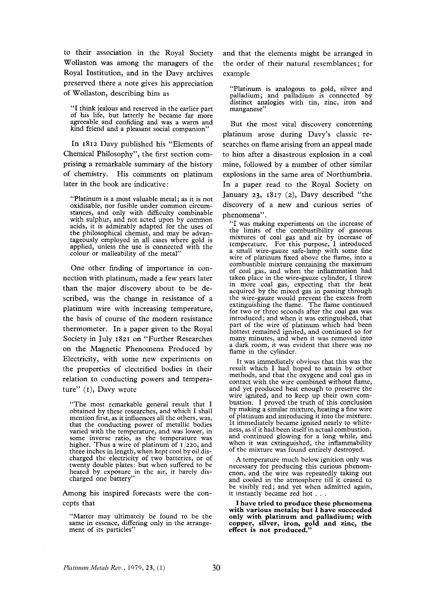to their association in the Royal Society Wollaston was among the managers of the Royal Institution, and in the Davy archives preserved there a note gives his appreciation of Wollaston, describing him as

"I think jealous and reserved in the earlier part of his life, but latterly he became far more agreeable and confiding and was a warm and kind friend and a pleasant social companion"

In 1812 Davy published his "Elements of Chemical Philosophy", the first section comprising a remarkable summary of the history of chemistry. His comments on platinum later in the book are indicative:

"Platinum is a most valuable metal; as it is not oxidisable, nor fusible under common circumstances, and only with difficulty combinable with sulphur, and not acted upon by common acids, it is admirably adapted for the uses of acids, it is admirably adapted for the uses of the philosophical chemist, and may be advantageously employed in all cases where gold is applied, unless the use is connected with the colour or malleability of the metal"

One other finding of importance in connection with platinum, made a few years later than the major discovery about to be described, was the change in resistance of a platinum wire with increasing temperature, the basis of course of the modern resistance thermometer. In a paper given to the Royal Society in July **1821** on "Further Researches on the Magnetic Phenomena Produced by Electricity, with some new experiments on the properties of electrified bodies in their relation to conducting powers and temperature" **(I),** Davy wrote

"The most remarkable general result that I obtained by these researches, and which I shall mention first, as it influences all the others, was, that the conducting power of metallic bodies varied with the temperature, and was lower, in some inverse ratio, as the temperature was higher. Thus a wire of platinum of **I**  $/220$ , and three inches in length, when kept cool by oil discharged the electricity of two batteries, or of twenty double plates: but when suffered to be heated by exposure in the air, it barely discharged one battery"

Among his inspired forecasts were the concepts that

"Matter may ultimately be found to be the same in essence, differing only in the arrangement of its particles"

and that the elements might be arranged in the order of their natural resemblances; for example

"Platinum is analogous to gold, silver and palladium; and palladium is connected by distinct analogies with tin, zinc, iron and manganese"

But the most vital discovery concerning platinum arose during Davy's classic researches on flame arising from an appeal made to him after a disastrous explosion in a coal mine, followed by a number of other similar explosions in the same area of Northumbria. In a paper read to the Royal Society on January **23,** 1817 *(z),* Davy described "the discovery of a new and curious series of phenomena".

"I was making experiments on the increase of the limits of the combustibility of gaseous mixtures of coal gas and air by increase of temperature. For this purpose, I introduced a small wire-gauze safe-lamp with some fine wire of platinum fixed abovc the flame, into a combustible mixture containing the maximum of coal gas, and when the inflammation had taken place in the wire-gauze cylinder, I threw in more coal gas, expecting that the heat acquired by the mixed gas in passing through the wire-gauze would prevent the excess from extinguishing the flame. The flame continued for two or threc seconds after the coal gas was introduced; and when it was extinguished, that part of the wire of platinum which had been hottest remained ignited, and continued so for many minutes, and when it was removed into a dark room, it was evident that there was no flame in the cylinder.

It was immediately obvious that this was the result which **I** had hoped to attain by other methods, and that the oxygene and coal gas in contact with the wire combined without flame, and yet produced heat enough to preserve the wire ignited, and to keep up their own combustion. I proved the truth of this conclusion by making a similar mixture, heating a fine wire of platinum and introducing it into the mixture. It immediately became ignited nearly to whiteness, as if it had been itself in actual combustion, and continued glowing for a long while, and when it was extinguished, the inflammability of the mixture was found entirely destroyed.

**A** temperature much below ignition only was necessary for producing this curious phenomenon, and the wire was repeatedly taking out and cooled in the atmosphere till it ceased to be visibly red; and yet when admitted again, it instantly became red hot . . .

**I have tried to produce these phenomena with various metals; but I have succeeded only with platinum and palladium; with copper, silver, iron, gold and zinc, the effect is not produced."**